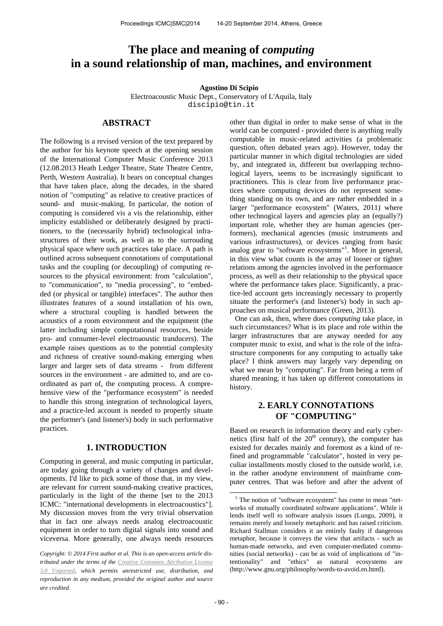# **The place and meaning of** *computing* **in a sound relationship of man, machines, and environment**

### **Agostino Di Scipio**

Electroacoustic Music Dept., Conservatory of L'Aquila, Italy discipio@tin.it

# **ABSTRACT**

The following is a revised version of the text prepared by the author for his keynote speech at the opening session of the International Computer Music Conference 2013 (12.08.2013 Heath Ledger Theatre, State Theatre Centre, Perth, Western Australia). It bears on conceptual changes that have taken place, along the decades, in the shared notion of "computing" as relative to creative practices of sound- and music-making. In particular, the notion of computing is considered vis a vis the relationship, either implicity established or deliberately designed by practitioners, to the (necessarily hybrid) technological infrastructures of their work, as well as to the surrouding physical space where such practices take place. A path is outlined across subsequent connotations of computational tasks and the coupling (or decoupling) of computing resources to the physical environment: from "calculation", to "communication", to "media processing", to "embedded (or physical or tangible) interfaces". The author then illustrates features of a sound installation of his own, where a structural coupling is handled between the acoustics of a room environment and the equipment (the latter including simple computational resources, beside pro- and consumer-level electroaoustic tranducers). The example raises questions as to the potential complexity and richness of creative sound-making emerging when larger and larger sets of data streams - from different sources in the environment - are admitted to, and are coordinated as part of, the computing process. A comprehensive view of the "performance ecosystem" is needed to handle this strong integration of technological layers, and a practice-led account is needed to propertly situate the performer's (and listener's) body in such performative practices.

### **1. INTRODUCTION**

Computing in general, and music computing in particular, are today going through a variety of changes and developments. I'd like to pick some of those that, in my view, are relevant for current sound-making creative practices, particularly in the light of the theme [set to the 2013 ICMC: "international developments in electroacoustics"]. My discussion moves from the very trivial observation that in fact one always needs analog electroacoustic equipment in order to turn digital signals into sound and viceversa. More generally, one always needs resources

other than digital in order to make sense of what in the world can be computed - provided there is anything really computable in music-related activities (a problematic question, often debated years ago). However, today the particular manner in which digital technologies are sided by, and integrated in, different but overlapping technological layers, seems to be increasingly significant to practitioners. This is clear from live performance practices where computing devices do not represent something standing on its own, and are rather embedded in a larger "performance ecosystem" (Waters, 2011) where other technogical layers and agencies play an (equally?) important role, whether they are human agencies (performers), mechanical agencies (music instruments and various infrastructures), or devices ranging from basic analog gear to "software ecosystems"<sup>1</sup>. More in general, in this view what counts is the array of looser or tighter relations among the agencies involved in the performance process, as well as their relationship to the physical space where the performance takes place. Significantly, a practice-led account gets increasingly necessary to propertly situate the performer's (and listener's) body in such approaches on musical performance (Green, 2013).

One can ask, then, where does *computing* take place, in such circumstances? What is its place and role within the larger infrastructures that are anyway needed for any computer music to exist, and what is the role of the infrastructure components for any computing to actually take place? I think answers may largely vary depending on what we mean by "computing". Far from being a term of shared meaning, it has taken up different connotations in history.

# **2. EARLY CONNOTATIONS OF "COMPUTING"**

Based on research in information theory and early cybernetics (first half of the  $20<sup>th</sup>$  century), the computer has existed for decades mainly and foremost as a kind of refined and programmable "calculator", hosted in very peculiar installments mostly closed to the outside world, i.e. in the rather anodyne environment of mainframe computer centres. That was before and after the advent of

**.** 

*Copyright: © 2014 First author et al. This is an open-access article distributed under the terms of the Creative Commons Attribution License 3.0 Unported, which permits unrestricted use, distribution, and reproduction in any medium, provided the original author and source are credited.*

<sup>&</sup>lt;sup>1</sup> The notion of "software ecosystem" has come to mean "networks of mutually coordinated software applications". While it lends itself well to software analysis issues (Lungu, 2009), it remains merely and loosely metaphoric and has raised criticism. Richard Stallman considers it an entirely faulty if dangerous metaphor, because it conveys the view that artifacts - such as human-made networks, and even computer-mediated communities (social networks) - can be as void of implications of "intentionality" and "ethics" as natural ecosystems are (http://www.gnu.org/philosophy/words-to-avoid.en.html).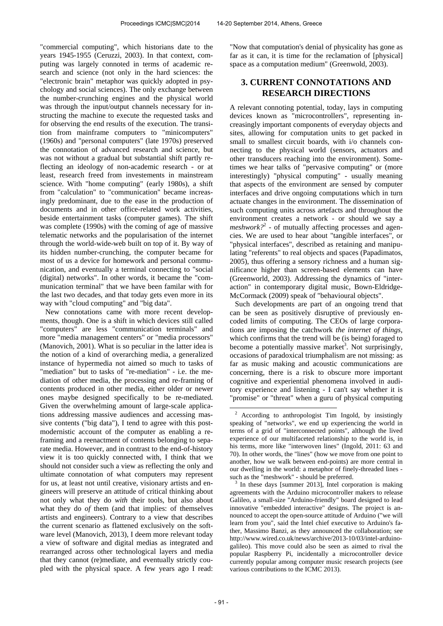"commercial computing", which historians date to the years 1945-1955 (Ceruzzi, 2003). In that context, computing was largely connoted in terms of academic research and science (not only in the hard sciences: the "electronic brain" metaphor was quickly adopted in psychology and social sciences). The only exchange between the number-crunching engines and the physical world was through the input/output channels necessary for instructing the machine to execute the requested tasks and for observing the end results of the execution. The transition from mainframe computers to "minicomputers" (1960s) and "personal computers" (late 1970s) preserved the connotation of advanced research and science, but was not without a gradual but substantial shift partly reflecting an ideology of non-academic research - or at least, research freed from investements in mainstream science. With "home computing" (early 1980s), a shift from "calculation" to "communication" became increasingly predominant, due to the ease in the production of documents and in other office-related work activities, beside entertainment tasks (computer games). The shift was complete (1990s) with the coming of age of massive telematic networks and the popularisation of the internet through the world-wide-web built on top of it. By way of its hidden number-crunching, the computer became for most of us a device for homework and personal communication, and eventually a terminal connecting to "social (digital) networks". In other words, it became the "communication terminal" that we have been familar with for the last two decades, and that today gets even more in its way with "cloud computing" and "big data".

New connotations came with more recent developments, though. One is a shift in which devices still called "computers" are less "communication terminals" and more "media management centers" or "media processors" (Manovich, 2001). What is so peculiar in the latter idea is the notion of a kind of overarching media, a generalized instance of hypermedia not aimed so much to tasks of "mediation" but to tasks of "re-mediation" - i.e. the mediation of other media, the processing and re-framing of contents produced in other media, either older or newer ones maybe designed specifically to be re-mediated. Given the overwhelming amount of large-scale applications addressing massive audiences and accessing massive contents ("big data"), I tend to agree with this postmodernistic account of the computer as enabling a reframing and a reenactment of contents belonging to separate media. However, and in contrast to the end-of-history view it is too quickly connected with, I think that we should not consider such a view as reflecting the only and ultimate connotation of what computers may represent for us, at least not until creative, visionary artists and engineers will preserve an attitude of critical thinking about not only what they do *with* their tools, but also about what they do *of* them (and that implies: of themselves artists and engineers). Contrary to a view that describes the current scenario as flattened exclusively on the software level (Manovich, 2013), I deem more relevant today a view of software and digital medias as integrated and rearranged across other technological layers and media that they cannot (re)mediate, and eventually strictly coupled with the physical space. A few years ago I read:

"Now that computation's denial of physicality has gone as far as it can, it is time for the reclamation of [physical] space as a computation medium" (Greenwold, 2003).

# **3. CURRENT CONNOTATIONS AND RESEARCH DIRECTIONS**

A relevant connoting potential, today, lays in computing devices known as "microcontrollers", representing increasingly important components of everyday objects and sites, allowing for computation units to get packed in small to smallest circuit boards, with i/o channels connecting to the physical world (sensors, actuators and other transducers reaching into the environment). Sometimes we hear talks of "pervasive computing" or (more interestingly) "physical computing" - usually meaning that aspects of the environment are sensed by computer interfaces and drive ongoing computations which in turn actuate changes in the environment. The dissemination of such computing units across artefacts and throughout the environment creates a network - or should we say a meshwork?<sup>2</sup> - of mutually affecting processes and agencies. We are used to hear about "tangible interfaces", or "physical interfaces", described as retaining and manipulating "referents" to real objects and spaces (Papadimatos, 2005), thus offering a sensory richness and a human significance higher than screen-based elements can have (Greenworld, 2003). Addressing the dynamics of "interaction" in contemporary digital music, Bown-Eldridge-McCormack (2009) speak of "behavioural objects".

Such developments are part of an ongoing trend that can be seen as positively disruptive of previously encoded limits of computing. The CEOs of large corporations are imposing the catchwork *the internet of things*, which confirms that the trend will be (is being) foraged to become a potentially massive market<sup>3</sup>. Not surprisingly, occasions of paradoxical triumphalism are not missing: as far as music making and acoustic communications are concerning, there is a risk to obscure more important cognitive and experiential phenomena involved in auditory experience and listening - I can't say whether it is "promise" or "threat" when a guru of physical computing

**<sup>.</sup>** 2 According to anthropologist Tim Ingold, by insistingly speaking of "networks", we end up experiencing the world in terms of a grid of "interconnected points", although the lived experience of our multifaceted relationship to the world is, in his terms, more like "interwoven lines" (Ingold, 2011: 63 and 70). In other words, the "lines" (how we move from one point to another, how we walk between end-points) are more central in our dwelling in the world: a metaphor of finely-threaded lines such as the "meshwork" - should be preferred.

<sup>3</sup> In these days [summer 2013], Intel corporation is making agreements with the Arduino microcontroller makers to release Galileo, a small-size "Arduino-friendly" board designed to lead innovative "embedded interactive" designs. The project is announced to accept the open-source attitude of Arduino ("we will learn from you", said the Intel chief executive to Arduino's father, Massimo Banzi, as they announced the collaboration; see http://www.wired.co.uk/news/archive/2013-10/03/intel-arduinogalileo). This move could also be seen as aimed to rival the popular Raspberry Pi, incidentally a microcontroller device currently popular among computer music research projects (see various contributions to the ICMC 2013).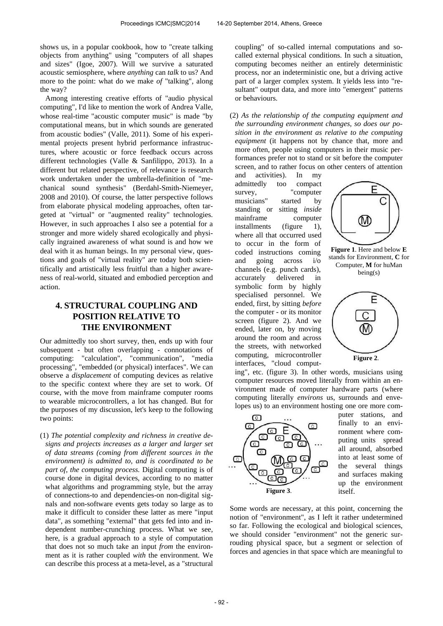shows us, in a popular cookbook, how to "create talking objects from anything" using "computers of all shapes and sizes" (Igoe, 2007). Will we survive a saturated acoustic semiosphere, where *anything* can *talk* to us? And more to the point: what do we make *of* "talking", along the way?

Among interesting creative efforts of "audio physical computing", I'd like to mention the work of Andrea Valle, whose real-time "acoustic computer music" is made "by computational means, but in which sounds are generated from acoustic bodies" (Valle, 2011). Some of his experimental projects present hybrid performance infrastructures, where acoustic or force feedback occurs across different technologies (Valle & Sanfilippo, 2013). In a different but related perspective, of relevance is research work undertaken under the umbrella-definition of "mechanical sound synthesis" (Berdahl-Smith-Niemeyer, 2008 and 2010). Of course, the latter perspective follows from elaborate physical modeling approaches, often targeted at "virtual" or "augmented reality" technologies. However, in such approaches I also see a potential for a stronger and more widely shared ecologically and physically ingrained awareness of what sound is and how we deal with it as human beings. In my personal view, questions and goals of "virtual reality" are today both scientifically and artistically less fruitful than a higher awareness of real-world, situated and embodied perception and action.

# **4. STRUCTURAL COUPLING AND POSITION RELATIVE TO THE ENVIRONMENT**

Our admittedly too short survey, then, ends up with four subsequent - but often overlapping - connotations of computing: "calculation", "communication", "media processing", "embedded (or physical) interfaces". We can observe a *displacement* of computing devices as relative to the specific context where they are set to work. Of course, with the move from mainframe computer rooms to wearable microcontrollers, a lot has changed. But for the purposes of my discussion, let's keep to the following two points:

(1) *The potential complexity and richness in creative designs and projects increases as a larger and larger set of data streams (coming from different sources in the environment) is admitted to, and is coordinated to be part of, the computing process.* Digital computing is of course done in digital devices, according to no matter what algorithms and programming style, but the array of connections-to and dependencies-on non-digital signals and non-software events gets today so large as to make it difficult to consider these latter as mere "input data", as something "external" that gets fed into and independent number-crunching process. What we see, here, is a gradual approach to a style of computation that does not so much take an input *from* the environment as it is rather coupled *with* the environment. We can describe this process at a meta-level, as a "structural

coupling" of so-called internal computations and socalled external physical conditions. In such a situation, computing becomes neither an entirely deterministic process, nor an indeterministic one, but a driving active part of a larger complex system. It yields less into "resultant" output data, and more into "emergent" patterns or behaviours.

(2) *As the relationship of the computing equipment and the surrounding environment changes, so does our position in the environment as relative to the computing equipment* (it happens not by chance that, more and more often, people using computers in their music performances prefer not to stand or sit before the computer screen, and to rather focus on other centers of attention

and activities). In my admittedly too compact survey, "computer musicians" started by standing or sitting *inside* mainframe computer installments (figure 1). where all that occurred used to occur in the form of coded instructions coming and going across i/o channels (e.g. punch cards), accurately delivered in symbolic form by highly specialised personnel. We ended, first, by sitting *before* the computer - or its monitor screen (figure 2). And we ended, later on, by moving around the room and across the streets, with networked computing, microcontroller interfaces, "cloud comput-



**Figure 1**. Here and below **E** stands for Environment, **C** for Computer, **M** for huMan being(s)



ing", etc. (figure 3). In other words, musicians using computer resources moved literally from within an environment made of computer hardware parts (where computing literally *environs* us, surrounds and envelopes us) to an environment hosting one ore more com-



puter stations, and finally to an environment where computing units spread all around, absorbed into at least some of the several things and surfaces making up the environment itself.

Some words are necessary, at this point, concerning the notion of "environment", as I left it rather undetermined so far. Following the ecological and biological sciences, we should consider "environment" not the generic surrouding physical space, but a segment or selection of forces and agencies in that space which are meaningful to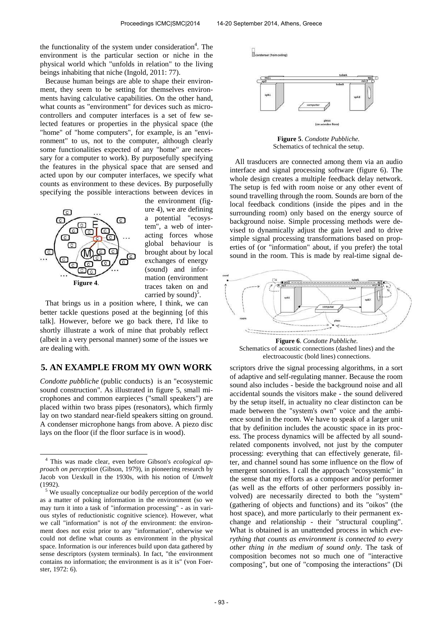the functionality of the system under consideration<sup>4</sup>. The environment is the particular section or niche in the physical world which "unfolds in relation" to the living beings inhabiting that niche (Ingold, 2011: 77).

Because human beings are able to shape their environment, they seem to be setting for themselves environments having calculative capabilities. On the other hand, what counts as "environment" for devices such as microcontrollers and computer interfaces is a set of few selected features or properties in the physical space (the "home" of "home computers", for example, is an "environment" to us, not to the computer, although clearly some functionalities expected of any "home" are necessary for a computer to work). By purposefully specifying the features in the physical space that are sensed and acted upon by our computer interfaces, we specify what counts as environment to these devices. By purposefully specifying the possible interactions between devices in



-

the environment (figure 4), we are defining a potential "ecosystem", a web of interacting forces whose global behaviour is brought about by local exchanges of energy (sound) and information (environment traces taken on and carried by sound) $5$ .

That brings us in a position where, I think, we can better tackle questions posed at the beginning [of this talk]. However, before we go back there, I'd like to shortly illustrate a work of mine that probably reflect (albeit in a very personal manner) some of the issues we are dealing with.

### **5. AN EXAMPLE FROM MY OWN WORK**

*Condotte pubbliche* (public conducts) is an "ecosystemic sound construction". As illustrated in figure 5, small microphones and common earpieces ("small speakers") are placed within two brass pipes (resonators), which firmly lay on two standard near-field speakers sitting on ground. A condenser microphone hangs from above. A piezo disc lays on the floor (if the floor surface is in wood).



**Figure 5**. *Condotte Pubbliche.* Schematics of technical the setup.

All trasducers are connected among them via an audio interface and signal processing software (figure 6). The whole design creates a multiple feedback delay network. The setup is fed with room noise or any other event of sound travelling through the room. Sounds are born of the local feedback conditions (inside the pipes and in the surrounding room) only based on the energy source of background noise. Simple processing methods were devised to dynamically adjust the gain level and to drive simple signal processing transformations based on properties of (or "information" about, if you prefer) the total sound in the room. This is made by real-time signal de-



Schematics of acoustic connections (dashed lines) and the electroacoustic (bold lines) connections.

scriptors drive the signal processing algorithms, in a sort of adaptive and self-regulating manner. Because the room sound also includes - beside the background noise and all accidental sounds the visitors make - the sound delivered by the setup itself, in actuality no clear distincton can be made between the "system's own" voice and the ambience sound in the room. We have to speak of a larger unit that by definition includes the acoustic space in its process. The process dynamics will be affected by all soundrelated components involved, not just by the computer processing: everything that can effectively generate, filter, and channel sound has some influence on the flow of emergent sonorities. I call the approach "ecosystemic" in the sense that my efforts as a composer and/or performer (as well as the efforts of other performers possibly involved) are necessarily directed to both the "system" (gathering of objects and functions) and its "oikos" (the host space), and more particularly to their permanent exchange and relationship - their "structural coupling". What is obtained is an unattended process in which *everything that counts as environment is connected to every other thing in the medium of sound only*. The task of composition becomes not so much one of "interactive composing", but one of "composing the interactions" (Di

<sup>4</sup> This was made clear, even before Gibson's *ecological approach on perception* (Gibson, 1979), in pioneering research by Jacob von Uexkull in the 1930s, with his notion of *Umwelt* (1992).

<sup>&</sup>lt;sup>5</sup> We usually conceptualize our bodily perception of the world as a matter of poking information in the environment (so we may turn it into a task of "information processing" - as in various styles of reductionistic cognitive science). However, what we call "information" is not *of* the environment: the environment does not exist prior to any "information", otherwise we could not define what counts as environment in the physical space. Information is our inferences build upon data gathered by sense descriptors (system terminals). In fact, "the environment contains no information; the environment is as it is" (von Foerster, 1972: 6).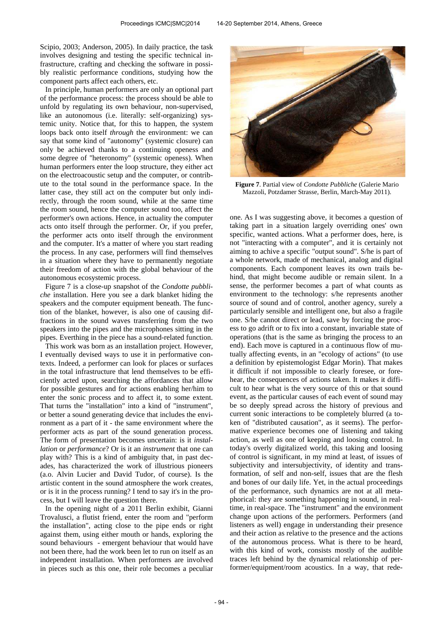Scipio, 2003; Anderson, 2005). In daily practice, the task involves designing and testing the specific technical infrastructure, crafting and checking the software in possibly realistic performance conditions, studying how the component parts affect each others, etc.

In principle, human performers are only an optional part of the performance process: the process should be able to unfold by regulating its own behaviour, non-supervised, like an autonomous (i.e. literally: self-organizing) systemic unity. Notice that, for this to happen, the system loops back onto itself *through* the environment: we can say that some kind of "autonomy" (systemic closure) can only be achieved thanks to a continuing openess and some degree of "heteronomy" (systemic openess). When human performers enter the loop structure, they either act on the electroacoustic setup and the computer, or contribute to the total sound in the performance space. In the latter case, they still act on the computer but only indirectly, through the room sound, while at the same time the room sound, hence the computer sound too, affect the performer's own actions. Hence, in actuality the computer acts onto itself through the performer. Or, if you prefer, the performer acts onto itself through the environment and the computer. It's a matter of where you start reading the process. In any case, performers will find themselves in a situation where they have to permanently negotiate their freedom of action with the global behaviour of the autonomous ecosystemic process.

Figure 7 is a close-up snapshot of the *Condotte pubbliche* installation. Here you see a dark blanket hiding the speakers and the computer equipment beneath. The function of the blanket, however, is also one of causing diffractions in the sound waves transferring from the two speakers into the pipes and the microphones sitting in the pipes. Everthing in the piece has a sound-related function.

This work was born as an installation project. However, I eventually devised ways to use it in performative contexts. Indeed, a performer can look for places or surfaces in the total infrastructure that lend themselves to be efficiently acted upon, searching the affordances that allow for possible gestures and for actions enabling her/him to enter the sonic process and to affect it, to some extent. That turns the "installation" into a kind of "instrument", or better a sound generating device that includes the environment as a part of it - the same environment where the performer acts as part of the sound generation process. The form of presentation becomes uncertain: is it *installation* or *performance*? Or is it an *instrument* that one can play with? This is a kind of ambiguity that, in past decades, has characterized the work of illustrious pioneers (a.o. Alvin Lucier and David Tudor, of course). Is the artistic content in the sound atmosphere the work creates, or is it in the process running? I tend to say it's in the process, but I will leave the question there.

In the opening night of a 2011 Berlin exhibit, Gianni Trovalusci, a flutist friend, enter the room and "perform the installation", acting close to the pipe ends or right against them, using either mouth or hands, exploring the sound behaviours - emergent behaviour that would have not been there, had the work been let to run on itself as an independent installation. When performers are involved in pieces such as this one, their role becomes a peculiar



**Figure 7**. Partial view of *Condotte Pubbliche* (Galerie Mario Mazzoli, Potzdamer Strasse, Berlin, March-May 2011).

one. As I was suggesting above, it becomes a question of taking part in a situation largely overriding ones' own specific, wanted actions. What a performer does, here, is not "interacting with a computer", and it is certainly not aiming to achive a specific "output sound". S/he is part of a whole network, made of mechanical, analog and digital components. Each component leaves its own trails behind, that might become audible or remain silent. In a sense, the performer becomes a part of what counts as environment to the technology: s/he represents another source of sound and of control, another agency, surely a particularly sensible and intelligent one, but also a fragile one. S/he cannot direct or lead, save by forcing the process to go adrift or to fix into a constant, invariable state of operations (that is the same as bringing the process to an end). Each move is captured in a continuous flow of mutually affecting events, in an "ecology of actions" (to use a definition by epistemologist Edgar Morin). That makes it difficult if not impossible to clearly foresee, or forehear, the consequences of actions taken. It makes it difficult to hear what is the very source of this or that sound event, as the particular causes of each event of sound may be so deeply spread across the history of previous and current sonic interactions to be completely blurred (a token of "distributed causation", as it seems). The performative experience becomes one of listening and taking action, as well as one of keeping and loosing control. In today's overly digitalized world, this taking and loosing of control is significant, in my mind at least, of issues of subjectivity and intersubjectivity, of identity and transformation, of self and non-self, issues that are the flesh and bones of our daily life. Yet, in the actual proceedings of the performance, such dynamics are not at all metaphorical: they are something happening in sound, in realtime, in real-space. The "instrument" and the environment change upon actions of the performers. Performers (and listeners as well) engage in understanding their presence and their action as relative to the presence and the actions of the autonomous process. What is there to be heard, with this kind of work, consists mostly of the audible traces left behind by the dynamical relationship of performer/equipment/room acoustics. In a way, that rede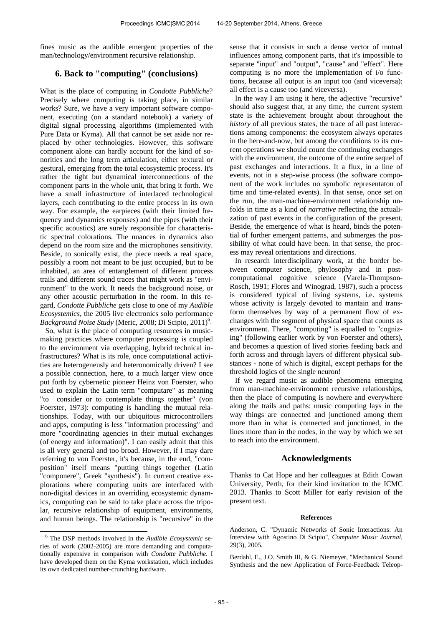fines music as the audible emergent properties of the man/technology/environment recursive relationship.

# **6. Back to "computing" (conclusions)**

What is the place of computing in *Condotte Pubbliche*? Precisely where computing is taking place, in similar works? Sure, we have a very important software component, executing (on a standard notebook) a variety of digital signal processing algorithms (implemented with Pure Data or Kyma). All that cannot be set aside nor replaced by other technologies. However, this software component alone can hardly account for the kind of sonorities and the long term articulation, either textural or gestural, emerging from the total ecosystemic process. It's rather the tight but dynamical interconnections of the component parts in the whole unit, that bring it forth. We have a small infrastructure of interlaced technological layers, each contributing to the entire process in its own way. For example, the earpieces (with their limited frequency and dynamics responses) and the pipes (with their specific acoustics) are surely responsible for characteristic spectral colorations. The nuances in dynamics also depend on the room size and the microphones sensitivity. Beside, to sonically exist, the piece needs a real space, possibly a room not meant to be just occupied, but to be inhabited, an area of entanglement of different process trails and different sound traces that might work as "environment" to the work. It needs the background noise, or any other acoustic perturbation in the room. In this regard, *Condotte Pubbliche* gets close to one of my *Audible Ecosystemics,* the 2005 live electronics solo performance Background Noise Study (Meric, 2008; Di Scipio, 2011)<sup>6</sup>.

So, what is the place of computing resources in musicmaking practices where computer processing is coupled to the environment via overlapping, hybrid technical infrastructures? What is its role, once computational activities are heterogeneusly and heteronomically driven? I see a possible connection, here, to a much larger view once put forth by cybernetic pioneer Heinz von Foerster, who used to explain the Latin term "computare" as meaning "to consider or to contemplate things together" (von Foerster, 1973): computing is handling the mutual relationships. Today, with our ubiquitous microcontrollers and apps, computing is less "information processing" and more "coordinating agencies in their mutual exchanges (of energy and information)". I can easily admit that this is all very general and too broad. However, if I may dare referring to von Foerster, it's because, in the end, "composition" itself means "putting things together (Latin "componere", Greek "synthesis"). In current creative explorations where computing units are interfaced with non-digital devices in an overriding ecosystemic dynamics, computing can be said to take place across the tripolar, recursive relationship of equipment, environments, and human beings. The relationship is "recursive" in the

-

sense that it consists in such a dense vector of mutual influences among component parts, that it's impossible to separate "input" and "output", "cause" and "effect". Here computing is no more the implementation of i/o functions, because all output is an input too (and viceversa): all effect is a cause too (and viceversa).

In the way I am using it here, the adjective "recursive" should also suggest that, at any time, the current system state is the achievement brought about throughout the *history* of all previous states, the trace of all past interactions among components: the ecosystem always operates in the here-and-now, but among the conditions to its current operations we should count the continuing exchanges with the environment, the outcome of the entire sequel of past exchanges and interactions. It a flux, in a line of events, not in a step-wise process (the software component of the work includes no symbolic representaton of time and time-related events). In that sense, once set on the run, the man-machine-environment relationship unfolds in time as a kind of *narrative* reflecting the actualization of past events in the configuration of the present. Beside, the emergence of what is heard, binds the potential of further emergent patterns, and submerges the possibility of what could have been. In that sense, the process may reveal orientations and directions.

In research interdisciplinary work, at the border between computer science, phylosophy and in postcomputational cognitive science (Varela-Thompson-Rosch, 1991; Flores and Winograd, 1987), such a process is considered typical of living systems, i.e. systems whose activity is largely devoted to mantain and transform themselves by way of a permanent flow of exchanges with the segment of physical space that counts as environment. There, "computing" is equalled to "cognizing" (following earlier work by von Foerster and others), and becomes a question of lived stories feeding back and forth across and through layers of different physical substances - none of which is digital, except perhaps for the threshold logics of the single neuron!

If we regard music as audible phenomena emerging from man-machine-environment recursive relationships, then the place of computing is nowhere and everywhere along the trails and paths: music computing lays in the way things are connected and junctioned among them more than in what is connected and junctioned, in the lines more than in the nodes, in the way by which we set to reach into the environment.

### **Acknowledgments**

Thanks to Cat Hope and her colleagues at Edith Cowan University, Perth, for their kind invitation to the ICMC 2013. Thanks to Scott Miller for early revision of the present text.

#### **References**

Berdahl, E., J.O. Smith III, & G. Niemeyer, "Mechanical Sound Synthesis and the new Application of Force-Feedback Teleop-

<sup>6</sup> The DSP methods involved in the *Audible Ecosystemic* series of work (2002-2005) are more demanding and computationally expensive in comparison with *Condotte Pubbliche*. I have developed them on the Kyma workstation, which includes its own dedicated number-crunching hardware.

Anderson, C. "Dynamic Networks of Sonic Interactions: An Interview with Agostino Di Scipio", *Computer Music Journal*, 29(3), 2005.